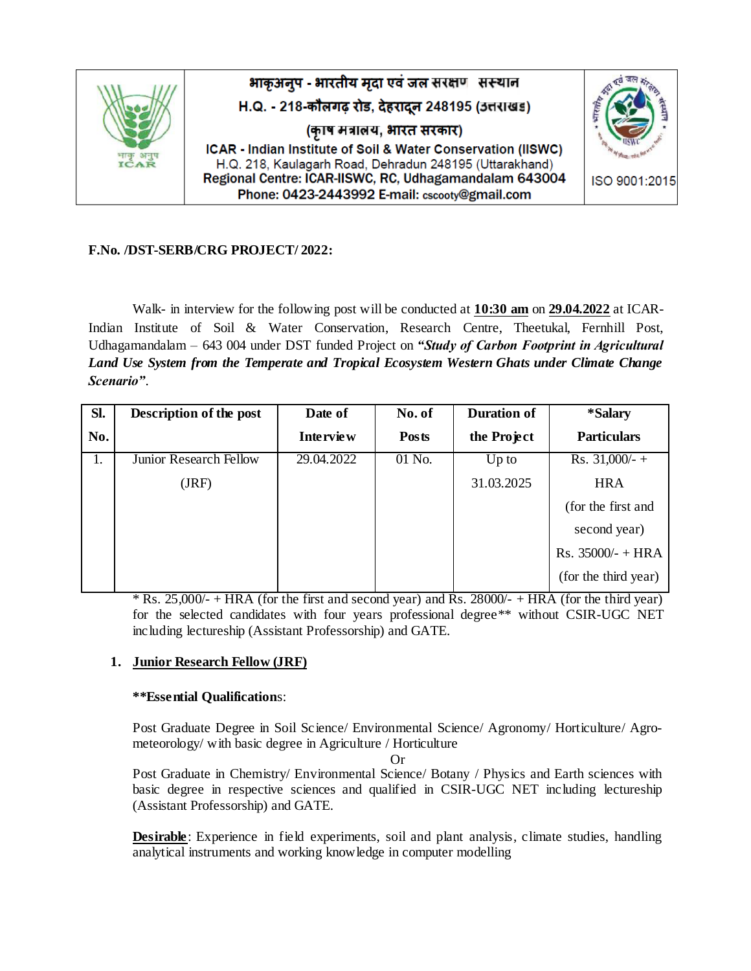

# **F.No. /DST-SERB/CRG PROJECT/ 2022:**

Walk- in interview for the following post will be conducted at **10:30 am** on **29.04.2022** at ICAR-Indian Institute of Soil & Water Conservation, Research Centre, Theetukal, Fernhill Post, Udhagamandalam – 643 004 under DST funded Project on *"Study of Carbon Footprint in Agricultural Land Use System from the Temperate and Tropical Ecosystem Western Ghats under Climate Change Scenario"*.

| SI. | Description of the post | Date of          | No. of       | <b>Duration of</b> | *Salary              |
|-----|-------------------------|------------------|--------------|--------------------|----------------------|
| No. |                         | <b>Interview</b> | <b>Posts</b> | the Project        | <b>Particulars</b>   |
| 1.  | Junior Research Fellow  | 29.04.2022       | 01 No.       | $Up$ to            | Rs. $31,000/$ - +    |
|     | (JRF)                   |                  |              | 31.03.2025         | <b>HRA</b>           |
|     |                         |                  |              |                    | (for the first and   |
|     |                         |                  |              |                    | second year)         |
|     |                         |                  |              |                    | $Rs. 35000/- + HRA$  |
|     |                         |                  |              |                    | (for the third year) |

\* Rs. 25,000/- + HRA (for the first and second year) and Rs. 28000/- + HRA (for the third year) for the selected candidates with four years professional degree\*\* without CSIR-UGC NET including lectureship (Assistant Professorship) and GATE.

# **1. Junior Research Fellow (JRF)**

#### **\*\*Essential Qualification**s:

Post Graduate Degree in Soil Science/ Environmental Science/ Agronomy/ Horticulture/ Agrometeorology/ with basic degree in Agriculture / Horticulture

Or

Post Graduate in Chemistry/ Environmental Science/ Botany / Physics and Earth sciences with basic degree in respective sciences and qualified in CSIR-UGC NET including lectureship (Assistant Professorship) and GATE.

**Desirable**: Experience in field experiments, soil and plant analysis, climate studies, handling analytical instruments and working knowledge in computer modelling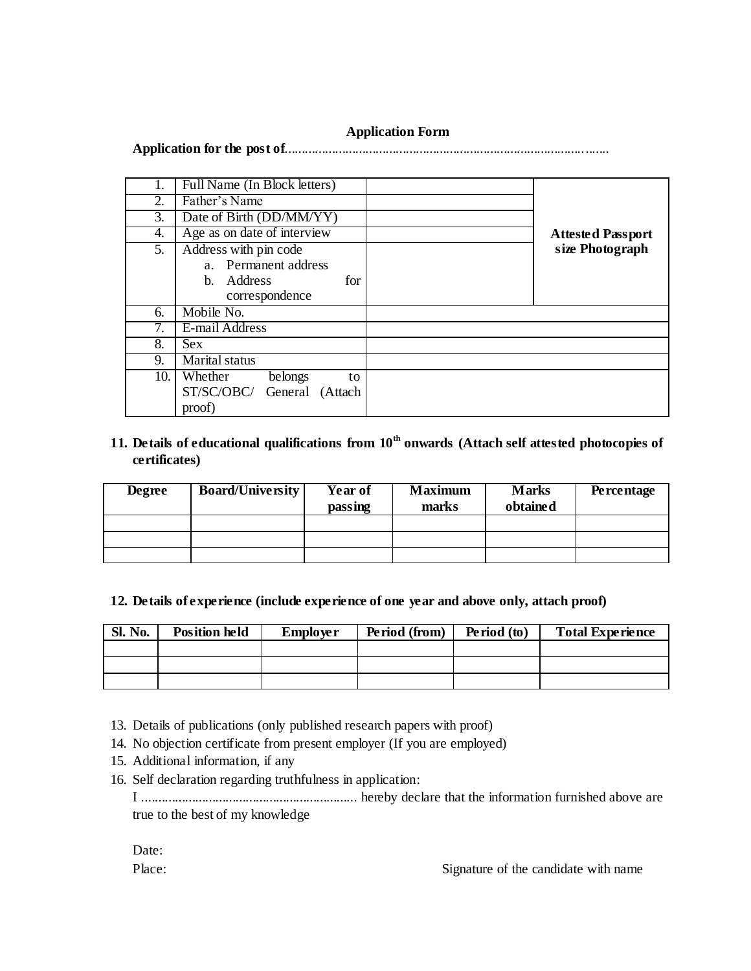### **Application Form**

**Application for the post of**................................................................................................

| 1.               | Full Name (In Block letters) |                          |
|------------------|------------------------------|--------------------------|
|                  |                              |                          |
| $\overline{2}$ . | Father's Name                |                          |
| 3.               | Date of Birth (DD/MM/YY)     |                          |
| 4.               | Age as on date of interview  | <b>Attested Passport</b> |
| 5.               | Address with pin code        | size Photograph          |
|                  | a. Permanent address         |                          |
|                  | b. Address<br>for            |                          |
|                  | correspondence               |                          |
| 6.               | Mobile No.                   |                          |
| 7.               | E-mail Address               |                          |
| 8.               | <b>Sex</b>                   |                          |
| 9.               | Marital status               |                          |
| 10.              | Whether<br>belongs<br>to     |                          |
|                  | ST/SC/OBC/ General (Attach   |                          |
|                  | proof)                       |                          |

# **11. Details of educational qualifications from 10th onwards (Attach self attested photocopies of certificates)**

| <b>Degree</b> | <b>Board/University</b> | Year of<br>passing | <b>Maximum</b><br>marks | <b>Marks</b><br>obtained | <b>Percentage</b> |
|---------------|-------------------------|--------------------|-------------------------|--------------------------|-------------------|
|               |                         |                    |                         |                          |                   |
|               |                         |                    |                         |                          |                   |
|               |                         |                    |                         |                          |                   |

#### **12. Details of experience (include experience of one year and above only, attach proof)**

| <b>Sl. No.</b> | <b>Position held</b> | <b>Employer</b> | Period (from) | Period (to) | <b>Total Experience</b> |
|----------------|----------------------|-----------------|---------------|-------------|-------------------------|
|                |                      |                 |               |             |                         |
|                |                      |                 |               |             |                         |
|                |                      |                 |               |             |                         |

- 13. Details of publications (only published research papers with proof)
- 14. No objection certificate from present employer (If you are employed)
- 15. Additional information, if any
- 16. Self declaration regarding truthfulness in application:

| true to the best of my knowledge |  |  |  |  |
|----------------------------------|--|--|--|--|

| Date:  |  |
|--------|--|
| Place: |  |

Signature of the candidate with name